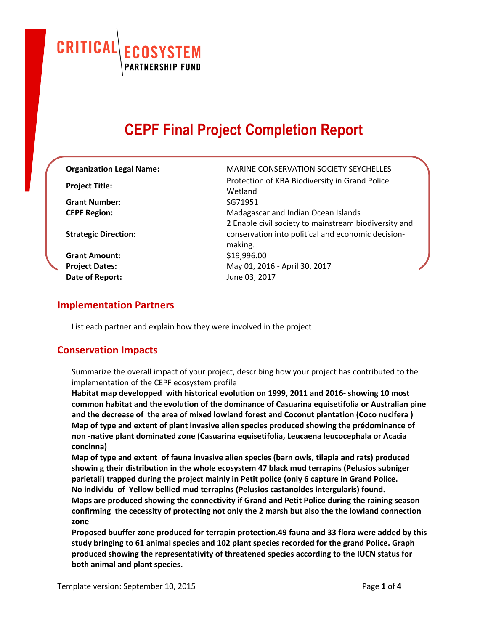CRITICAL **ECOSYSTEM**<br>PARTNERSHIP FUND

# **CEPF Final Project Completion Report**

| <b>Organization Legal Name:</b> | <b>MARINE CONSERVATION SOCIETY SEYCHELLES</b>                 |
|---------------------------------|---------------------------------------------------------------|
| <b>Project Title:</b>           | Protection of KBA Biodiversity in Grand Police<br>Wetland     |
| <b>Grant Number:</b>            | SG71951                                                       |
| <b>CEPF Region:</b>             | Madagascar and Indian Ocean Islands                           |
|                                 | 2 Enable civil society to mainstream biodiversity and         |
| <b>Strategic Direction:</b>     | conservation into political and economic decision-<br>making. |
| <b>Grant Amount:</b>            | \$19,996.00                                                   |
| <b>Project Dates:</b>           | May 01, 2016 - April 30, 2017                                 |
| Date of Report:                 | June 03, 2017                                                 |

#### **Implementation Partners**

List each partner and explain how they were involved in the project

#### **Conservation Impacts**

Summarize the overall impact of your project, describing how your project has contributed to the implementation of the CEPF ecosystem profile

**Habitat map developped with historical evolution on 1999, 2011 and 2016- showing 10 most common habitat and the evolution of the dominance of Casuarina equisetifolia or Australian pine and the decrease of the area of mixed lowland forest and Coconut plantation (Coco nucifera ) Map of type and extent of plant invasive alien species produced showing the prédominance of non -native plant dominated zone (Casuarina equisetifolia, Leucaena leucocephala or Acacia concinna)**

**Map of type and extent of fauna invasive alien species (barn owls, tilapia and rats) produced showin g their distribution in the whole ecosystem 47 black mud terrapins (Pelusios subniger parietali) trapped during the project mainly in Petit police (only 6 capture in Grand Police. No individu of Yellow bellied mud terrapins (Pelusios castanoides intergularis) found. Maps are produced showing the connectivity if Grand and Petit Police during the raining season confirming the cecessity of protecting not only the 2 marsh but also the the lowland connection zone**

**Proposed buuffer zone produced for terrapin protection.49 fauna and 33 flora were added by this study bringing to 61 animal species and 102 plant species recorded for the grand Police. Graph produced showing the representativity of threatened species according to the IUCN status for both animal and plant species.**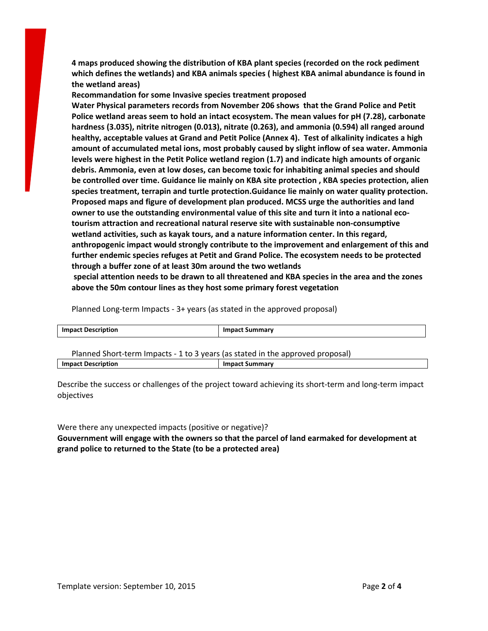**4 maps produced showing the distribution of KBA plant species (recorded on the rock pediment which defines the wetlands) and KBA animals species ( highest KBA animal abundance is found in the wetland areas)**

**Recommandation for some Invasive species treatment proposed**

**Water Physical parameters records from November 206 shows that the Grand Police and Petit Police wetland areas seem to hold an intact ecosystem. The mean values for pH (7.28), carbonate hardness (3.035), nitrite nitrogen (0.013), nitrate (0.263), and ammonia (0.594) all ranged around healthy, acceptable values at Grand and Petit Police (Annex 4). Test of alkalinity indicates a high amount of accumulated metal ions, most probably caused by slight inflow of sea water. Ammonia levels were highest in the Petit Police wetland region (1.7) and indicate high amounts of organic debris. Ammonia, even at low doses, can become toxic for inhabiting animal species and should be controlled over time. Guidance lie mainly on KBA site protection , KBA species protection, alien species treatment, terrapin and turtle protection.Guidance lie mainly on water quality protection. Proposed maps and figure of development plan produced. MCSS urge the authorities and land owner to use the outstanding environmental value of this site and turn it into a national ecotourism attraction and recreational natural reserve site with sustainable non-consumptive wetland activities, such as kayak tours, and a nature information center. In this regard, anthropogenic impact would strongly contribute to the improvement and enlargement of this and further endemic species refuges at Petit and Grand Police. The ecosystem needs to be protected through a buffer zone of at least 30m around the two wetlands**

**special attention needs to be drawn to all threatened and KBA species in the area and the zones above the 50m contour lines as they host some primary forest vegetation**

Planned Long-term Impacts - 3+ years (as stated in the approved proposal)

| <b>Impact Description</b>                                                    | <b>Impact Summary</b> |
|------------------------------------------------------------------------------|-----------------------|
|                                                                              |                       |
| Dlanned Short term Impacts 1 to 2 years (as stated in the approved proposal) |                       |

Planned Short-term Impacts - 1 to 3 years (as stated in the approved proposal) **Impact Description Impact Summary**

Describe the success or challenges of the project toward achieving its short-term and long-term impact objectives

Were there any unexpected impacts (positive or negative)? **Gouvernment will engage with the owners so that the parcel of land earmaked for development at grand police to returned to the State (to be a protected area)**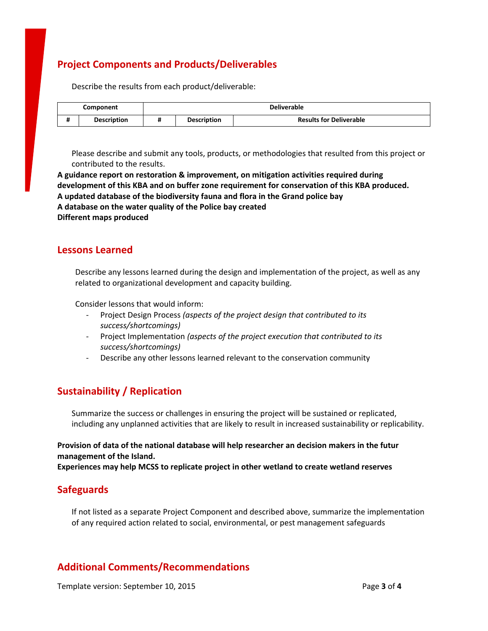# **Project Components and Products/Deliverables**

Describe the results from each product/deliverable:

|                     | Component          | <b>Deliverable</b> |                    |                                |
|---------------------|--------------------|--------------------|--------------------|--------------------------------|
| $\overline{1}$<br>π | <b>Description</b> |                    | <b>Description</b> | <b>Results for Deliverable</b> |

Please describe and submit any tools, products, or methodologies that resulted from this project or contributed to the results.

**A guidance report on restoration & improvement, on mitigation activities required during development of this KBA and on buffer zone requirement for conservation of this KBA produced. A updated database of the biodiversity fauna and flora in the Grand police bay A database on the water quality of the Police bay created Different maps produced**

#### **Lessons Learned**

Describe any lessons learned during the design and implementation of the project, as well as any related to organizational development and capacity building.

Consider lessons that would inform:

- Project Design Process *(aspects of the project design that contributed to its success/shortcomings)*
- Project Implementation *(aspects of the project execution that contributed to its success/shortcomings)*
- Describe any other lessons learned relevant to the conservation community

## **Sustainability / Replication**

Summarize the success or challenges in ensuring the project will be sustained or replicated, including any unplanned activities that are likely to result in increased sustainability or replicability.

#### **Provision of data of the national database will help researcher an decision makers in the futur management of the Island.**

**Experiences may help MCSS to replicate project in other wetland to create wetland reserves**

## **Safeguards**

If not listed as a separate Project Component and described above, summarize the implementation of any required action related to social, environmental, or pest management safeguards

## **Additional Comments/Recommendations**